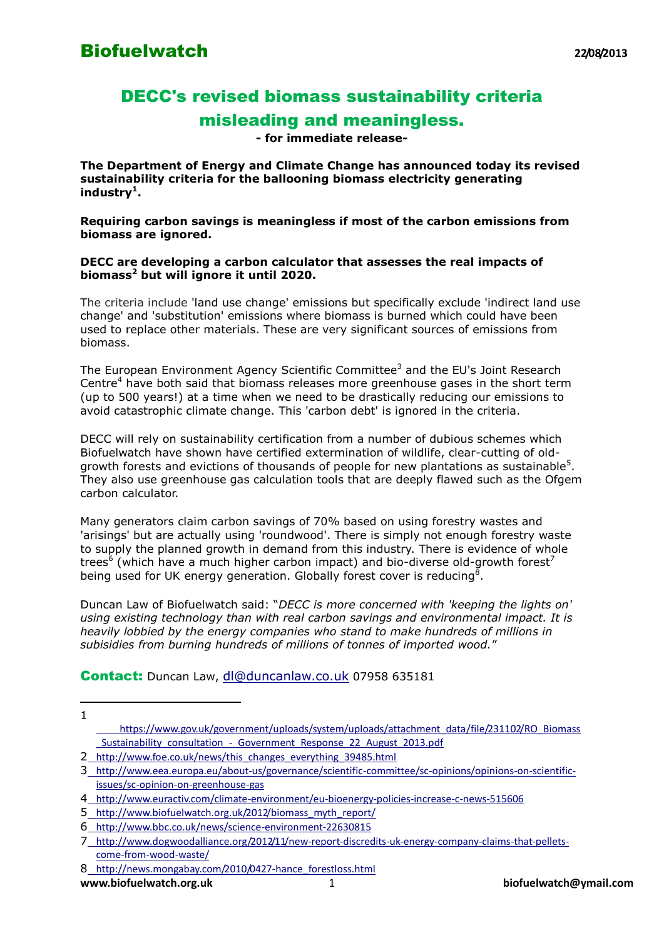## DECC's revised biomass sustainability criteria misleading and meaningless.

**- for immediate release-**

**The Department of Energy and Climate Change has announced today its revised sustainability criteria for the ballooning biomass electricity generating industry<sup>1</sup> .** 

**Requiring carbon savings is meaningless if most of the carbon emissions from biomass are ignored.**

## **DECC are developing a carbon calculator that assesses the real impacts of biomass<sup>2</sup> but will ignore it until 2020.**

The criteria include 'land use change' emissions but specifically exclude 'indirect land use change' and 'substitution' emissions where biomass is burned which could have been used to replace other materials. These are very significant sources of emissions from biomass.

The European Environment Agency Scientific Committee<sup>3</sup> and the EU's Joint Research Centre<sup>4</sup> have both said that biomass releases more greenhouse gases in the short term (up to 500 years!) at a time when we need to be drastically reducing our emissions to avoid catastrophic climate change. This 'carbon debt' is ignored in the criteria.

DECC will rely on sustainability certification from a number of dubious schemes which Biofuelwatch have shown have certified extermination of wildlife, clear-cutting of oldgrowth forests and evictions of thousands of people for new plantations as sustainable<sup>5</sup>. They also use greenhouse gas calculation tools that are deeply flawed such as the Ofgem carbon calculator.

Many generators claim carbon savings of 70% based on using forestry wastes and 'arisings' but are actually using 'roundwood'. There is simply not enough forestry waste to supply the planned growth in demand from this industry. There is evidence of whole trees<sup>6</sup> (which have a much higher carbon impact) and bio-diverse old-growth forest<sup>7</sup> being used for UK energy generation. Globally forest cover is reducing<sup>8</sup>.

Duncan Law of Biofuelwatch said: "*DECC is more concerned with 'keeping the lights on' using existing technology than with real carbon savings and environmental impact. It is heavily lobbied by the energy companies who stand to make hundreds of millions in subisidies from burning hundreds of millions of tonnes of imported wood.*"

Contact: Duncan Law, [dl@duncanlaw.co.uk](mailto:dl@duncanlaw.co.uk) 07958 635181

 $\overline{a}$ 1

- 2 http://www.foe.co.uk/news/this changes everything 39485.html
- 3 [http://www.eea.europa.eu/about-us/governance/scientific-committee/sc-opinions/opinions-on-scientific](http://www.eea.europa.eu/about-us/governance/scientific-committee/sc-opinions/opinions-on-scientific-issues/sc-opinion-on-greenhouse-gas)[issues/sc-opinion-on-greenhouse-gas](http://www.eea.europa.eu/about-us/governance/scientific-committee/sc-opinions/opinions-on-scientific-issues/sc-opinion-on-greenhouse-gas)

[https://www.gov.uk/government/uploads/system/uploads/attachment\\_data/file/231102/RO\\_Biomass](https://www.gov.uk/government/uploads/system/uploads/attachment_data/file/231102/RO_Biomass_Sustainability_consultation_-_Government_Response_22_August_2013.pdf) Sustainability consultation - Government Response 22 August 2013.pdf

<sup>4</sup> <http://www.euractiv.com/climate-environment/eu-bioenergy-policies-increase-c-news-515606>

<sup>5</sup> [http://www.biofuelwatch.org.uk/2012/biomass\\_myth\\_report/](http://www.biofuelwatch.org.uk/2012/biomass_myth_report/)

<sup>6</sup> <http://www.bbc.co.uk/news/science-environment-22630815>

<sup>7</sup> [http://www.dogwoodalliance.org/2012/11/new-report-discredits-uk-energy-company-claims-that-pellets](http://www.dogwoodalliance.org/2012/11/new-report-discredits-uk-energy-company-claims-that-pellets-come-from-wood-waste/)[come-from-wood-waste/](http://www.dogwoodalliance.org/2012/11/new-report-discredits-uk-energy-company-claims-that-pellets-come-from-wood-waste/)

<sup>8</sup> [http://news.mongabay.com/2010/0427-hance\\_forestloss.html](http://news.mongabay.com/2010/0427-hance_forestloss.html)